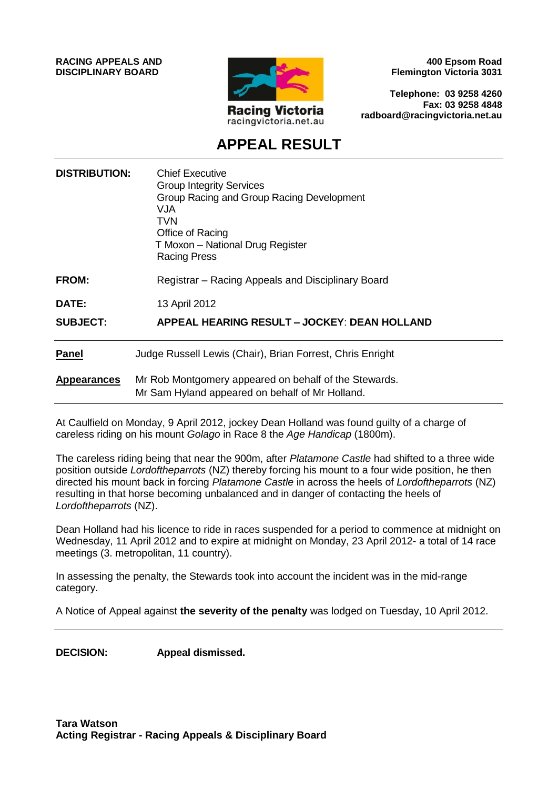**RACING APPEALS AND DISCIPLINARY BOARD**



**400 Epsom Road Flemington Victoria 3031**

**Telephone: 03 9258 4260 Fax: 03 9258 4848 radboard@racingvictoria.net.au**

# **APPEAL RESULT**

| <b>DISTRIBUTION:</b> | <b>Chief Executive</b><br><b>Group Integrity Services</b><br>Group Racing and Group Racing Development<br>VJA<br>TVN<br>Office of Racing<br>T Moxon - National Drug Register<br><b>Racing Press</b> |
|----------------------|-----------------------------------------------------------------------------------------------------------------------------------------------------------------------------------------------------|
| <b>FROM:</b>         | Registrar – Racing Appeals and Disciplinary Board                                                                                                                                                   |
| DATE:                | 13 April 2012                                                                                                                                                                                       |
| <b>SUBJECT:</b>      | <b>APPEAL HEARING RESULT - JOCKEY: DEAN HOLLAND</b>                                                                                                                                                 |
| <b>Panel</b>         | Judge Russell Lewis (Chair), Brian Forrest, Chris Enright                                                                                                                                           |
| <b>Appearances</b>   | Mr Rob Montgomery appeared on behalf of the Stewards.<br>Mr Sam Hyland appeared on behalf of Mr Holland.                                                                                            |

At Caulfield on Monday, 9 April 2012, jockey Dean Holland was found guilty of a charge of careless riding on his mount *Golago* in Race 8 the *Age Handicap* (1800m).

The careless riding being that near the 900m, after *Platamone Castle* had shifted to a three wide position outside *Lordoftheparrots* (NZ) thereby forcing his mount to a four wide position, he then directed his mount back in forcing *Platamone Castle* in across the heels of *Lordoftheparrots* (NZ) resulting in that horse becoming unbalanced and in danger of contacting the heels of *Lordoftheparrots* (NZ).

Dean Holland had his licence to ride in races suspended for a period to commence at midnight on Wednesday, 11 April 2012 and to expire at midnight on Monday, 23 April 2012- a total of 14 race meetings (3. metropolitan, 11 country).

In assessing the penalty, the Stewards took into account the incident was in the mid-range category.

A Notice of Appeal against **the severity of the penalty** was lodged on Tuesday, 10 April 2012.

**DECISION: Appeal dismissed.**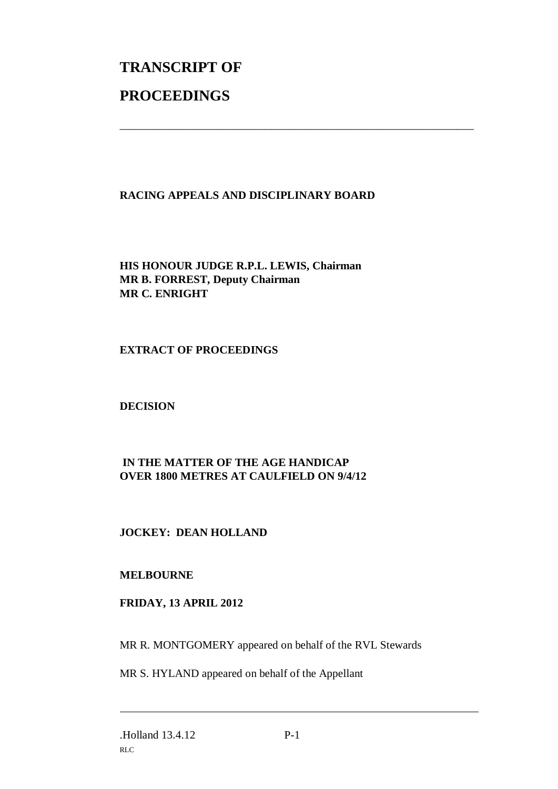# **TRANSCRIPT OF PROCEEDINGS**

### **RACING APPEALS AND DISCIPLINARY BOARD**

\_\_\_\_\_\_\_\_\_\_\_\_\_\_\_\_\_\_\_\_\_\_\_\_\_\_\_\_\_\_\_\_\_\_\_\_\_\_\_\_\_\_\_\_\_\_\_\_\_\_\_\_\_\_\_\_\_\_\_\_\_\_\_

**HIS HONOUR JUDGE R.P.L. LEWIS, Chairman MR B. FORREST, Deputy Chairman MR C. ENRIGHT**

#### **EXTRACT OF PROCEEDINGS**

**DECISION**

## **IN THE MATTER OF THE AGE HANDICAP OVER 1800 METRES AT CAULFIELD ON 9/4/12**

### **JOCKEY: DEAN HOLLAND**

#### **MELBOURNE**

### **FRIDAY, 13 APRIL 2012**

MR R. MONTGOMERY appeared on behalf of the RVL Stewards

MR S. HYLAND appeared on behalf of the Appellant